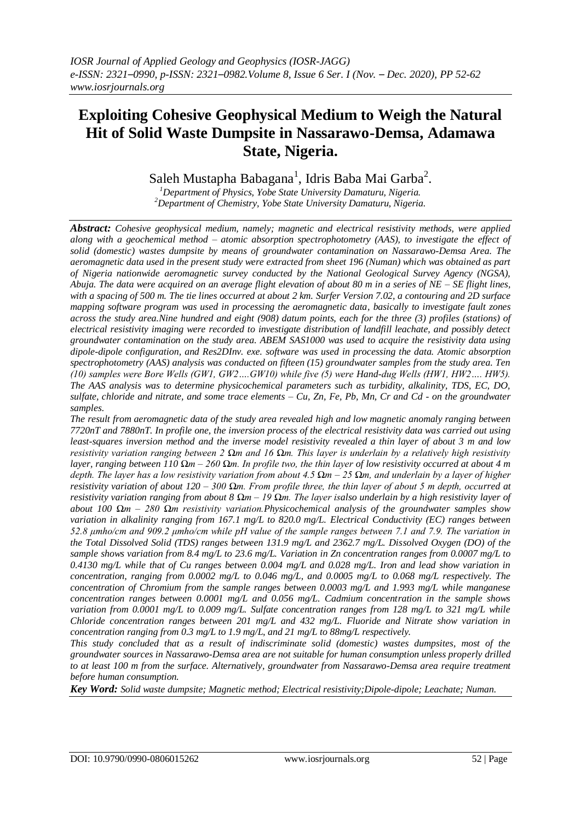# **Exploiting Cohesive Geophysical Medium to Weigh the Natural Hit of Solid Waste Dumpsite in Nassarawo-Demsa, Adamawa State, Nigeria.**

Saleh Mustapha Babagana<sup>1</sup>, Idris Baba Mai Garba<sup>2</sup>.

*<sup>1</sup>Department of Physics, Yobe State University Damaturu, Nigeria. <sup>2</sup>Department of Chemistry, Yobe State University Damaturu, Nigeria.*

*Abstract: Cohesive geophysical medium, namely; magnetic and electrical resistivity methods, were applied along with a geochemical method – atomic absorption spectrophotometry (AAS), to investigate the effect of solid (domestic) wastes dumpsite by means of groundwater contamination on Nassarawo-Demsa Area. The aeromagnetic data used in the present study were extracted from sheet 196 (Numan) which was obtained as part of Nigeria nationwide aeromagnetic survey conducted by the National Geological Survey Agency (NGSA), Abuja. The data were acquired on an average flight elevation of about 80 m in a series of NE – SE flight lines, with a spacing of 500 m. The tie lines occurred at about 2 km. Surfer Version 7.02, a contouring and 2D surface mapping software program was used in processing the aeromagnetic data, basically to investigate fault zones across the study area.Nine hundred and eight (908) datum points, each for the three (3) profiles (stations) of electrical resistivity imaging were recorded to investigate distribution of landfill leachate, and possibly detect groundwater contamination on the study area. ABEM SAS1000 was used to acquire the resistivity data using dipole-dipole configuration, and Res2DInv. exe. software was used in processing the data. Atomic absorption spectrophotometry (AAS) analysis was conducted on fifteen (15) groundwater samples from the study area. Ten (10) samples were Bore Wells (GW1, GW2….GW10) while five (5) were Hand-dug Wells (HW1, HW2…. HW5). The AAS analysis was to determine physicochemical parameters such as turbidity, alkalinity, TDS, EC, DO, sulfate, chloride and nitrate, and some trace elements – Cu, Zn, Fe, Pb, Mn, Cr and Cd - on the groundwater samples.* 

*The result from aeromagnetic data of the study area revealed high and low magnetic anomaly ranging between 7720nT and 7880nT. In profile one, the inversion process of the electrical resistivity data was carried out using least-squares inversion method and the inverse model resistivity revealed a thin layer of about 3 m and low resistivity variation ranging between 2 Ωm and 16 Ωm. This layer is underlain by a relatively high resistivity layer, ranging between 110 Ωm – 260 Ωm. In profile two, the thin layer of low resistivity occurred at about 4 m depth. The layer has a low resistivity variation from about 4.5 Ωm – 25 Ωm, and underlain by a layer of higher resistivity variation of about 120 – 300 Ωm. From profile three, the thin layer of about 5 m depth, occurred at resistivity variation ranging from about 8 Ωm – 19 Ωm. The layer isalso underlain by a high resistivity layer of about 100 Ωm – 280 Ωm resistivity variation.Physicochemical analysis of the groundwater samples show variation in alkalinity ranging from 167.1 mg/L to 820.0 mg/L. Electrical Conductivity (EC) ranges between 52.8 μmho/cm and 909.2 μmho/cm while pH value of the sample ranges between 7.1 and 7.9. The variation in the Total Dissolved Solid (TDS) ranges between 131.9 mg/L and 2362.7 mg/L. Dissolved Oxygen (DO) of the sample shows variation from 8.4 mg/L to 23.6 mg/L. Variation in Zn concentration ranges from 0.0007 mg/L to 0.4130 mg/L while that of Cu ranges between 0.004 mg/L and 0.028 mg/L. Iron and lead show variation in concentration, ranging from 0.0002 mg/L to 0.046 mg/L, and 0.0005 mg/L to 0.068 mg/L respectively. The concentration of Chromium from the sample ranges between 0.0003 mg/L and 1.993 mg/L while manganese concentration ranges between 0.0001 mg/L and 0.056 mg/L. Cadmium concentration in the sample shows variation from 0.0001 mg/L to 0.009 mg/L. Sulfate concentration ranges from 128 mg/L to 321 mg/L while Chloride concentration ranges between 201 mg/L and 432 mg/L. Fluoride and Nitrate show variation in concentration ranging from 0.3 mg/L to 1.9 mg/L, and 21 mg/L to 88mg/L respectively.*

*This study concluded that as a result of indiscriminate solid (domestic) wastes dumpsites, most of the groundwater sources in Nassarawo-Demsa area are not suitable for human consumption unless properly drilled to at least 100 m from the surface. Alternatively, groundwater from Nassarawo-Demsa area require treatment before human consumption.*

*Key Word: Solid waste dumpsite; Magnetic method; Electrical resistivity;Dipole-dipole; Leachate; Numan.*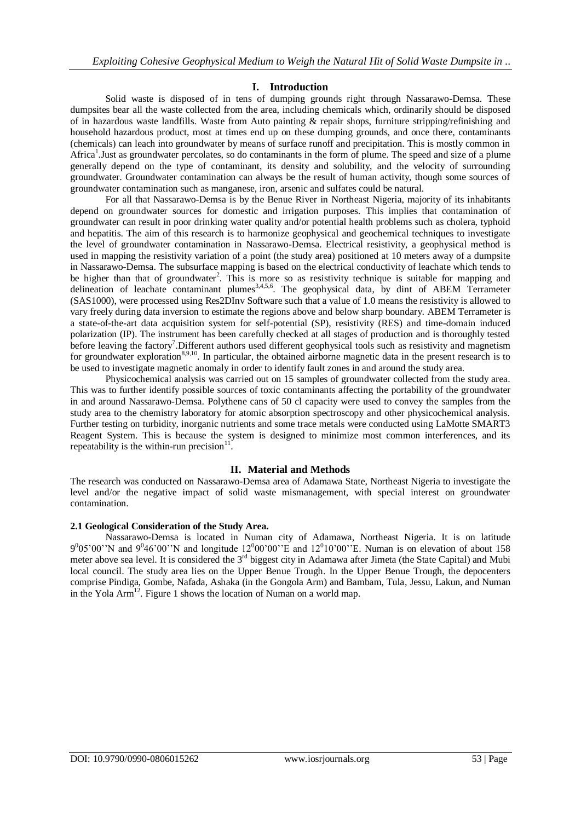# **I. Introduction**

Solid waste is disposed of in tens of dumping grounds right through Nassarawo-Demsa. These dumpsites bear all the waste collected from the area, including chemicals which, ordinarily should be disposed of in hazardous waste landfills. Waste from Auto painting & repair shops, furniture stripping/refinishing and household hazardous product, most at times end up on these dumping grounds, and once there, contaminants (chemicals) can leach into groundwater by means of surface runoff and precipitation. This is mostly common in Africa<sup>1</sup>. Just as groundwater percolates, so do contaminants in the form of plume. The speed and size of a plume generally depend on the type of contaminant, its density and solubility, and the velocity of surrounding groundwater. Groundwater contamination can always be the result of human activity, though some sources of groundwater contamination such as manganese, iron, arsenic and sulfates could be natural.

For all that Nassarawo-Demsa is by the Benue River in Northeast Nigeria, majority of its inhabitants depend on groundwater sources for domestic and irrigation purposes. This implies that contamination of groundwater can result in poor drinking water quality and/or potential health problems such as cholera, typhoid and hepatitis. The aim of this research is to harmonize geophysical and geochemical techniques to investigate the level of groundwater contamination in Nassarawo-Demsa. Electrical resistivity, a geophysical method is used in mapping the resistivity variation of a point (the study area) positioned at 10 meters away of a dumpsite in Nassarawo-Demsa. The subsurface mapping is based on the electrical conductivity of leachate which tends to be higher than that of groundwater<sup>2</sup>. This is more so as resistivity technique is suitable for mapping and delineation of leachate contaminant plumes<sup>3,4,5,6</sup>. The geophysical data, by dint of ABEM Terrameter (SAS1000), were processed using Res2DInv Software such that a value of 1.0 means the resistivity is allowed to vary freely during data inversion to estimate the regions above and below sharp boundary. ABEM Terrameter is a state-of-the-art data acquisition system for self-potential (SP), resistivity (RES) and time-domain induced polarization (IP). The instrument has been carefully checked at all stages of production and is thoroughly tested before leaving the factory<sup>7</sup>. Different authors used different geophysical tools such as resistivity and magnetism for groundwater exploration<sup>8,9,10</sup>. In particular, the obtained airborne magnetic data in the present research is to be used to investigate magnetic anomaly in order to identify fault zones in and around the study area.

Physicochemical analysis was carried out on 15 samples of groundwater collected from the study area. This was to further identify possible sources of toxic contaminants affecting the portability of the groundwater in and around Nassarawo-Demsa. Polythene cans of 50 cl capacity were used to convey the samples from the study area to the chemistry laboratory for atomic absorption spectroscopy and other physicochemical analysis. Further testing on turbidity, inorganic nutrients and some trace metals were conducted using LaMotte SMART3 Reagent System. This is because the system is designed to minimize most common interferences, and its repeatability is the within-run precision $<sup>1</sup>$ </sup> .

# **II. Material and Methods**

The research was conducted on Nassarawo-Demsa area of Adamawa State, Northeast Nigeria to investigate the level and/or the negative impact of solid waste mismanagement, with special interest on groundwater contamination.

## **2.1 Geological Consideration of the Study Area.**

Nassarawo-Demsa is located in Numan city of Adamawa, Northeast Nigeria. It is on latitude  $9^005'00''$ N and  $9^046'00''$ N and longitude 12<sup>0</sup>00'00''E and 12<sup>0</sup>10'00"E. Numan is on elevation of about 158 meter above sea level. It is considered the 3rd biggest city in Adamawa after Jimeta (the State Capital) and Mubi local council. The study area lies on the Upper Benue Trough. In the Upper Benue Trough, the depocenters comprise Pindiga, Gombe, Nafada, Ashaka (in the Gongola Arm) and Bambam, Tula, Jessu, Lakun, and Numan in the Yola Arm<sup>12</sup>. Figure 1 shows the location of Numan on a world map.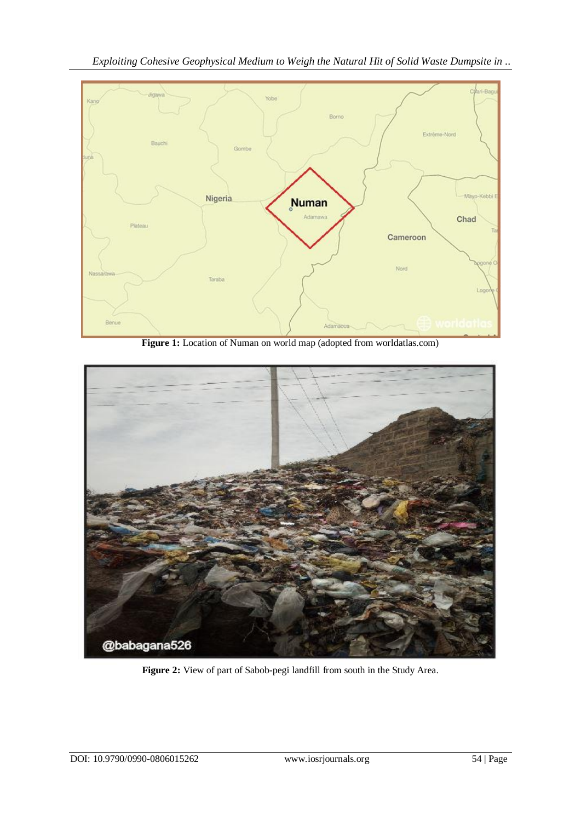*Exploiting Cohesive Geophysical Medium to Weigh the Natural Hit of Solid Waste Dumpsite in ..*



**Figure 1:** Location of Numan on world map (adopted from worldatlas.com)



**Figure 2:** View of part of Sabob-pegi landfill from south in the Study Area.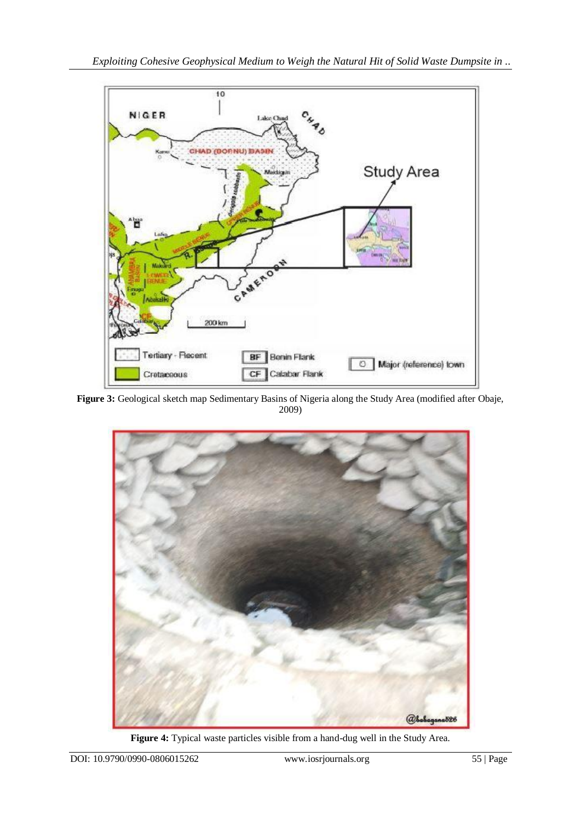

**Figure 3:** Geological sketch map Sedimentary Basins of Nigeria along the Study Area (modified after Obaje, 2009)



**Figure 4:** Typical waste particles visible from a hand-dug well in the Study Area.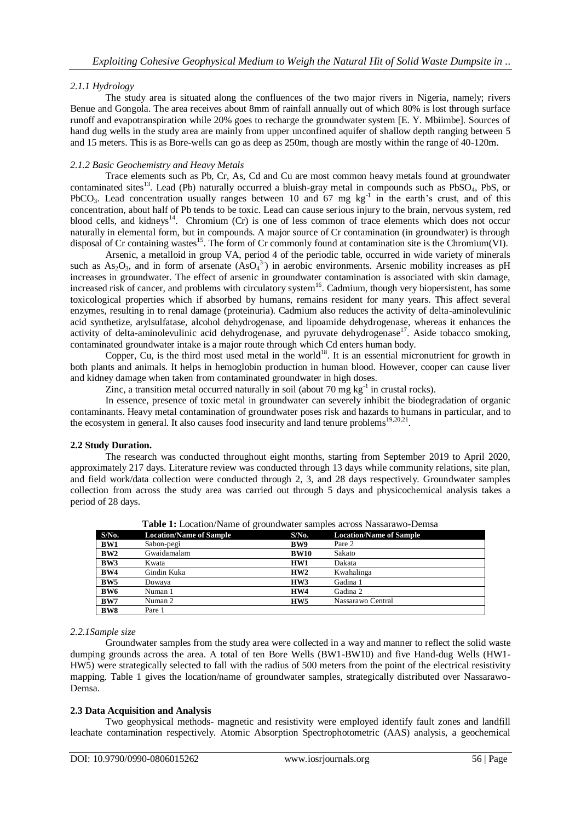# *2.1.1 Hydrology*

The study area is situated along the confluences of the two major rivers in Nigeria, namely; rivers Benue and Gongola. The area receives about 8mm of rainfall annually out of which 80% is lost through surface runoff and evapotranspiration while 20% goes to recharge the groundwater system [E. Y. Mbiimbe]. Sources of hand dug wells in the study area are mainly from upper unconfined aquifer of shallow depth ranging between 5 and 15 meters. This is as Bore-wells can go as deep as 250m, though are mostly within the range of 40-120m.

# *2.1.2 Basic Geochemistry and Heavy Metals*

Trace elements such as Pb, Cr, As, Cd and Cu are most common heavy metals found at groundwater contaminated sites<sup>13</sup>. Lead (Pb) naturally occurred a bluish-gray metal in compounds such as PbSO<sub>4</sub>, PbS, or PbCO<sub>3</sub>. Lead concentration usually ranges between 10 and  $67$  mg  $\text{kg}^{-1}$  in the earth's crust, and of this concentration, about half of Pb tends to be toxic. Lead can cause serious injury to the brain, nervous system, red blood cells, and kidneys<sup>14</sup>. Chromium (Cr) is one of less common of trace elements which does not occur naturally in elemental form, but in compounds. A major source of Cr contamination (in groundwater) is through disposal of Cr containing wastes<sup>15</sup>. The form of Cr commonly found at contamination site is the Chromium(VI).

Arsenic, a metalloid in group VA, period 4 of the periodic table, occurred in wide variety of minerals such as  $As_2O_3$ , and in form of arsenate  $(AsO<sub>4</sub><sup>3</sup>)$  in aerobic environments. Arsenic mobility increases as pH increases in groundwater. The effect of arsenic in groundwater contamination is associated with skin damage, increased risk of cancer, and problems with circulatory system<sup>16</sup>. Cadmium, though very biopersistent, has some toxicological properties which if absorbed by humans, remains resident for many years. This affect several enzymes, resulting in to renal damage (proteinuria). Cadmium also reduces the activity of delta-aminolevulinic acid synthetize, arylsulfatase, alcohol dehydrogenase, and lipoamide dehydrogenase, whereas it enhances the activity of delta-aminolevulinic acid dehydrogenase, and pyruvate dehydrogenase<sup>17</sup>. Aside tobacco smoking, contaminated groundwater intake is a major route through which Cd enters human body.

Copper, Cu, is the third most used metal in the world<sup>18</sup>. It is an essential micronutrient for growth in both plants and animals. It helps in hemoglobin production in human blood. However, cooper can cause liver and kidney damage when taken from contaminated groundwater in high doses.

Zinc, a transition metal occurred naturally in soil (about 70 mg  $kg^{-1}$  in crustal rocks).

In essence, presence of toxic metal in groundwater can severely inhibit the biodegradation of organic contaminants. Heavy metal contamination of groundwater poses risk and hazards to humans in particular, and to the ecosystem in general. It also causes food insecurity and land tenure problems<sup>19,20,21</sup>.

# **2.2 Study Duration.**

The research was conducted throughout eight months, starting from September 2019 to April 2020, approximately 217 days. Literature review was conducted through 13 days while community relations, site plan, and field work/data collection were conducted through 2, 3, and 28 days respectively. Groundwater samples collection from across the study area was carried out through 5 days and physicochemical analysis takes a period of 28 days.

| $S/N0$ .        | <b>Location/Name of Sample</b> | $S/N0$ .        | <b>Location/Name of Sample</b> |  |  |  |  |  |
|-----------------|--------------------------------|-----------------|--------------------------------|--|--|--|--|--|
| <b>BW1</b>      | Sabon-pegi                     | BW9             | Pare 2                         |  |  |  |  |  |
| BW2             | Gwaidamalam                    | <b>BW10</b>     | Sakato                         |  |  |  |  |  |
| BW3             | Kwata                          | HW1             | Dakata                         |  |  |  |  |  |
| BW4             | Gindin Kuka                    | HW2             | Kwahalinga                     |  |  |  |  |  |
| BW <sub>5</sub> | Dowaya                         | HW3             | Gadina 1                       |  |  |  |  |  |
| BW <sub>6</sub> | Numan 1                        | HW4             | Gadina 2                       |  |  |  |  |  |
| BW7             | Numan 2                        | HW <sub>5</sub> | Nassarawo Central              |  |  |  |  |  |
| BW <sub>8</sub> | Pare 1                         |                 |                                |  |  |  |  |  |

**Table 1:** Location/Name of groundwater samples across Nassarawo-Demsa

## *2.2.1Sample size*

Groundwater samples from the study area were collected in a way and manner to reflect the solid waste dumping grounds across the area. A total of ten Bore Wells (BW1-BW10) and five Hand-dug Wells (HW1- HW5) were strategically selected to fall with the radius of 500 meters from the point of the electrical resistivity mapping. Table 1 gives the location/name of groundwater samples, strategically distributed over Nassarawo-Demsa.

# **2.3 Data Acquisition and Analysis**

Two geophysical methods- magnetic and resistivity were employed identify fault zones and landfill leachate contamination respectively. Atomic Absorption Spectrophotometric (AAS) analysis, a geochemical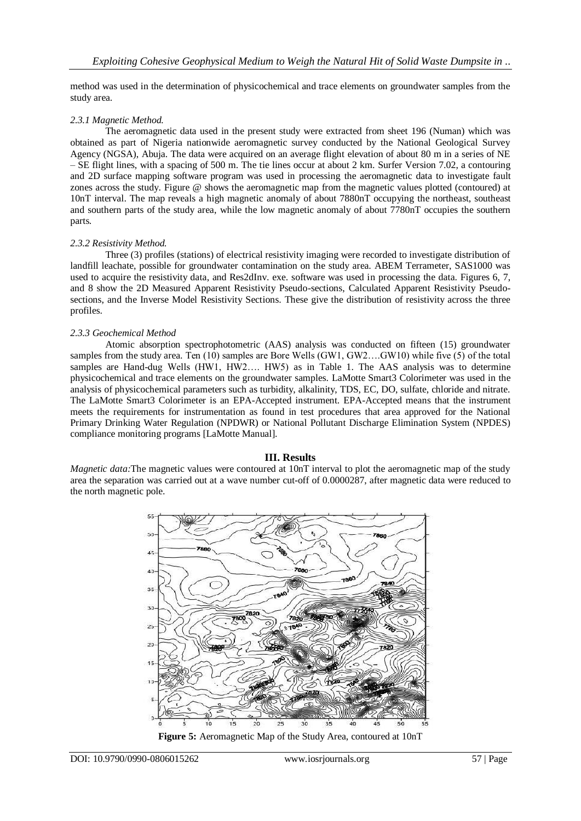method was used in the determination of physicochemical and trace elements on groundwater samples from the study area.

## *2.3.1 Magnetic Method.*

The aeromagnetic data used in the present study were extracted from sheet 196 (Numan) which was obtained as part of Nigeria nationwide aeromagnetic survey conducted by the National Geological Survey Agency (NGSA), Abuja. The data were acquired on an average flight elevation of about 80 m in a series of NE – SE flight lines, with a spacing of 500 m. The tie lines occur at about 2 km. Surfer Version 7.02, a contouring and 2D surface mapping software program was used in processing the aeromagnetic data to investigate fault zones across the study. Figure @ shows the aeromagnetic map from the magnetic values plotted (contoured) at 10nT interval. The map reveals a high magnetic anomaly of about 7880nT occupying the northeast, southeast and southern parts of the study area, while the low magnetic anomaly of about 7780nT occupies the southern parts.

## *2.3.2 Resistivity Method.*

Three (3) profiles (stations) of electrical resistivity imaging were recorded to investigate distribution of landfill leachate, possible for groundwater contamination on the study area. ABEM Terrameter, SAS1000 was used to acquire the resistivity data, and Res2dInv. exe. software was used in processing the data. Figures 6, 7, and 8 show the 2D Measured Apparent Resistivity Pseudo-sections, Calculated Apparent Resistivity Pseudosections, and the Inverse Model Resistivity Sections. These give the distribution of resistivity across the three profiles.

## *2.3.3 Geochemical Method*

Atomic absorption spectrophotometric (AAS) analysis was conducted on fifteen (15) groundwater samples from the study area. Ten (10) samples are Bore Wells (GW1, GW2….GW10) while five (5) of the total samples are Hand-dug Wells (HW1, HW2.... HW5) as in Table 1. The AAS analysis was to determine physicochemical and trace elements on the groundwater samples. LaMotte Smart3 Colorimeter was used in the analysis of physicochemical parameters such as turbidity, alkalinity, TDS, EC, DO, sulfate, chloride and nitrate. The LaMotte Smart3 Colorimeter is an EPA-Accepted instrument. EPA-Accepted means that the instrument meets the requirements for instrumentation as found in test procedures that area approved for the National Primary Drinking Water Regulation (NPDWR) or National Pollutant Discharge Elimination System (NPDES) compliance monitoring programs [LaMotte Manual].

# **III. Results**

*Magnetic data:*The magnetic values were contoured at 10nT interval to plot the aeromagnetic map of the study area the separation was carried out at a wave number cut-off of 0.0000287, after magnetic data were reduced to the north magnetic pole.



**Figure 5:** Aeromagnetic Map of the Study Area, contoured at 10nT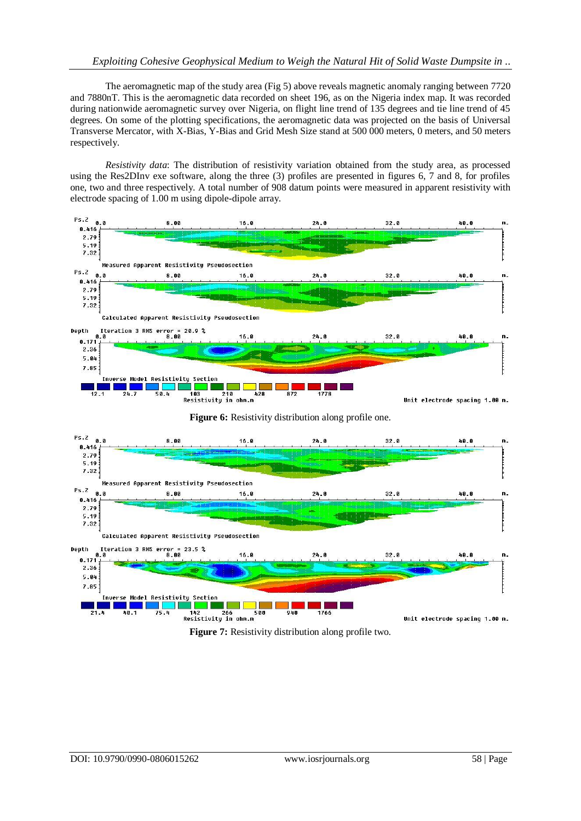The aeromagnetic map of the study area (Fig 5) above reveals magnetic anomaly ranging between 7720 and 7880nT. This is the aeromagnetic data recorded on sheet 196, as on the Nigeria index map. It was recorded during nationwide aeromagnetic survey over Nigeria, on flight line trend of 135 degrees and tie line trend of 45 degrees. On some of the plotting specifications, the aeromagnetic data was projected on the basis of Universal Transverse Mercator, with X-Bias, Y-Bias and Grid Mesh Size stand at 500 000 meters, 0 meters, and 50 meters respectively.

*Resistivity data*: The distribution of resistivity variation obtained from the study area, as processed using the Res2DInv exe software, along the three (3) profiles are presented in figures 6, 7 and 8, for profiles one, two and three respectively. A total number of 908 datum points were measured in apparent resistivity with electrode spacing of 1.00 m using dipole-dipole array.







**Figure 7:** Resistivity distribution along profile two.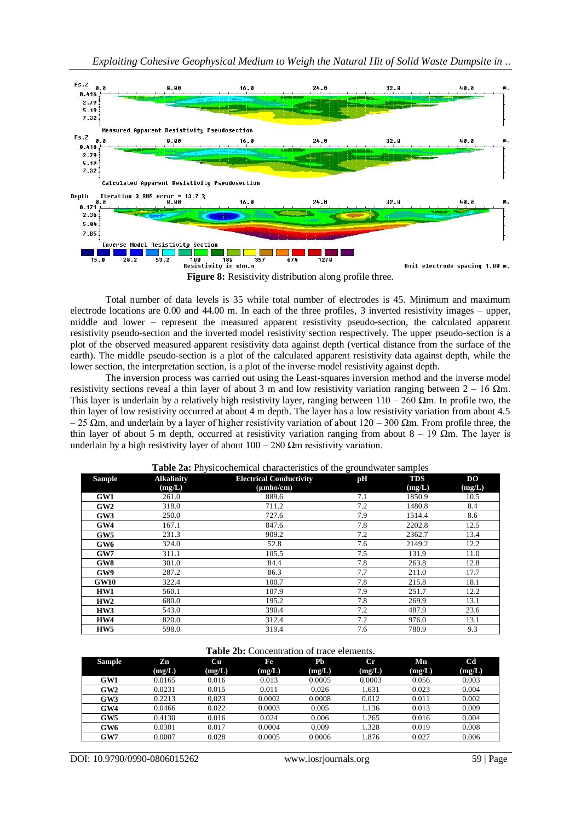

**Figure 8:** Resistivity distribution along profile three.

Total number of data levels is 35 while total number of electrodes is 45. Minimum and maximum electrode locations are 0.00 and 44.00 m. In each of the three profiles, 3 inverted resistivity images – upper, middle and lower – represent the measured apparent resistivity pseudo-section, the calculated apparent resistivity pseudo-section and the inverted model resistivity section respectively. The upper pseudo-section is a plot of the observed measured apparent resistivity data against depth (vertical distance from the surface of the earth). The middle pseudo-section is a plot of the calculated apparent resistivity data against depth, while the lower section, the interpretation section, is a plot of the inverse model resistivity against depth.

The inversion process was carried out using the Least-squares inversion method and the inverse model resistivity sections reveal a thin layer of about 3 m and low resistivity variation ranging between  $2 - 16$  Ωm. This layer is underlain by a relatively high resistivity layer, ranging between  $110 - 260$  Ωm. In profile two, the thin layer of low resistivity occurred at about 4 m depth. The layer has a low resistivity variation from about 4.5  $-25$  Ωm, and underlain by a layer of higher resistivity variation of about 120 – 300 Ωm. From profile three, the thin layer of about 5 m depth, occurred at resistivity variation ranging from about  $8 - 19 \Omega m$ . The layer is underlain by a high resistivity layer of about  $100 - 280$  Ωm resistivity variation.

| <b>Sample</b>   | <b>Alkalinity</b> | <b>Electrical Conductivity</b> | pH  | <b>TDS</b> | D <sub>O</sub> |
|-----------------|-------------------|--------------------------------|-----|------------|----------------|
|                 | (mg/L)            | $(\mu mho/cm)$                 |     | (mg/L)     | (mg/L)         |
| GW1             | 261.0             | 889.6                          | 7.1 | 1850.9     | 10.5           |
| GW2             | 318.0             | 711.2                          | 7.2 | 1480.8     | 8.4            |
| GW3             | 250.0             | 727.6                          | 7.9 | 1514.4     | 8.6            |
| GW4             | 167.1             | 847.6                          | 7.8 | 2202.8     | 12.5           |
| GW5             | 231.3             | 909.2                          | 7.2 | 2362.7     | 13.4           |
| GW <sub>6</sub> | 324.0             | 52.8                           | 7.6 | 2149.2     | 12.2           |
| GW7             | 311.1             | 105.5                          | 7.5 | 131.9      | 11.0           |
| GW8             | 301.0             | 84.4                           | 7.8 | 263.8      | 12.8           |
| GW9             | 287.2             | 86.3                           | 7.7 | 211.0      | 17.7           |
| <b>GW10</b>     | 322.4             | 100.7                          | 7.8 | 215.8      | 18.1           |
| HW1             | 560.1             | 107.9                          | 7.9 | 251.7      | 12.2           |
| HW2             | 680.0             | 195.2                          | 7.8 | 269.9      | 13.1           |
| HW3             | 543.0             | 390.4                          | 7.2 | 487.9      | 23.6           |
| HW4             | 820.0             | 312.4                          | 7.2 | 976.0      | 13.1           |
| HW <sub>5</sub> | 598.0             | 319.4                          | 7.6 | 780.9      | 9.3            |

**Table 2a:** Physicochemical characteristics of the groundwater samples

| Table 2b: Concentration of trace elements. |  |
|--------------------------------------------|--|
|--------------------------------------------|--|

| <b>Sample</b> | Zn     | Cu     | Fe     | Ph     | $_{\rm Cr}$ | Mn     | C <sub>d</sub> |
|---------------|--------|--------|--------|--------|-------------|--------|----------------|
|               | (mg/L) | (mg/L) | (mg/L) | (mg/L) | (mg/L)      | (mg/L) | (mg/L)         |
| GW1           | 0.0165 | 0.016  | 0.013  | 0.0005 | 0.0003      | 0.056  | 0.003          |
| GW2           | 0.0231 | 0.015  | 0.011  | 0.026  | .631        | 0.023  | 0.004          |
| GW3           | 0.2213 | 0.023  | 0.0002 | 0.0008 | 0.012       | 0.011  | 0.002          |
| GW4           | 0.0466 | 0.022  | 0.0003 | 0.005  | 1.136       | 0.013  | 0.009          |
| GW5           | 0.4130 | 0.016  | 0.024  | 0.006  | 1.265       | 0.016  | 0.004          |
| GW6           | 0.0301 | 0.017  | 0.0004 | 0.009  | 1.328       | 0.019  | 0.008          |
| GW7           | 0.0007 | 0.028  | 0.0005 | 0.0006 | .876        | 0.027  | 0.006          |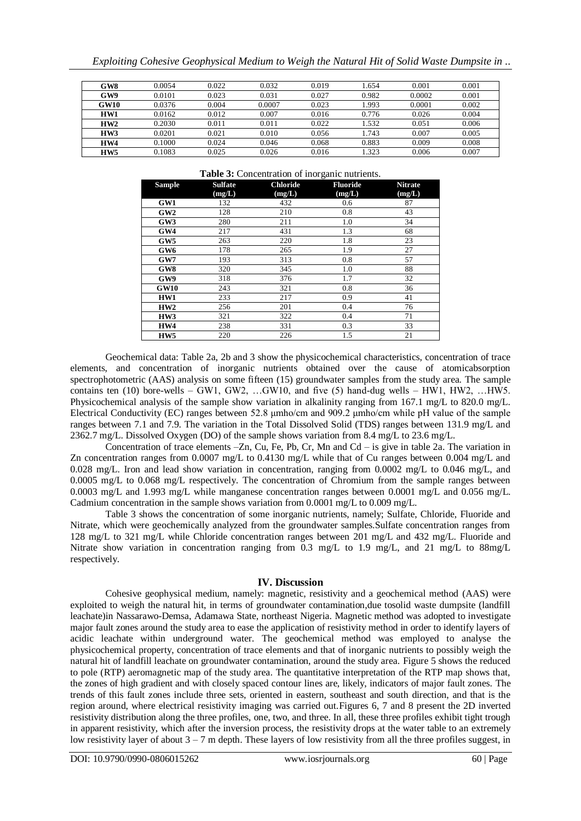|  |  |  |  | Exploiting Cohesive Geophysical Medium to Weigh the Natural Hit of Solid Waste Dumpsite in |
|--|--|--|--|--------------------------------------------------------------------------------------------|
|  |  |  |  |                                                                                            |

| GW8             | 0.0054 | 0.022 | 0.032  | 0.019 | .654  | 0.001  | 0.001 |
|-----------------|--------|-------|--------|-------|-------|--------|-------|
| GW9             | 0.0101 | 0.023 | 0.031  | 0.027 | 0.982 | 0.0002 | 0.001 |
| GW10            | 0.0376 | 0.004 | 0.0007 | 0.023 | .993  | 0.0001 | 0.002 |
| HW1             | 0.0162 | 0.012 | 0.007  | 0.016 | 0.776 | 0.026  | 0.004 |
| HW2             | 0.2030 | 0.011 | 0.011  | 0.022 | .532  | 0.051  | 0.006 |
| HW3             | 0.0201 | 0.021 | 0.010  | 0.056 | .743  | 0.007  | 0.005 |
| HW4             | 0.1000 | 0.024 | 0.046  | 0.068 | 0.883 | 0.009  | 0.008 |
| HW <sub>5</sub> | 0.1083 | 0.025 | 0.026  | 0.016 | .323  | 0.006  | 0.007 |

#### **Table 3:** Concentration of inorganic nutrients.

| <b>Sample</b>   | <b>Sulfate</b> | <b>Chloride</b> | <b>Fluoride</b> | <b>Nitrate</b> |
|-----------------|----------------|-----------------|-----------------|----------------|
|                 | (mg/L)         | (mg/L)          | (mg/L)          | (mg/L)         |
| GW1             | 132            | 432             | 0.6             | 87             |
| GW2             | 128            | 210             | 0.8             | 43             |
| GW3             | 280            | 211             | 1.0             | 34             |
| GW4             | 217            | 431             | 1.3             | 68             |
| GW5             | 263            | 220             | 1.8             | 23             |
| GW <sub>6</sub> | 178            | 265             | 1.9             | 27             |
| GW7             | 193            | 313             | 0.8             | 57             |
| GW8             | 320            | 345             | 1.0             | 88             |
| GW9             | 318            | 376             | 1.7             | 32             |
| <b>GW10</b>     | 243            | 321             | 0.8             | 36             |
| HW1             | 233            | 217             | 0.9             | 41             |
| HW2             | 256            | 201             | 0.4             | 76             |
| HW3             | 321            | 322             | 0.4             | 71             |
| HW4             | 238            | 331             | 0.3             | 33             |
| HW <sub>5</sub> | 220            | 226             | 1.5             | 21             |

Geochemical data: Table 2a, 2b and 3 show the physicochemical characteristics, concentration of trace elements, and concentration of inorganic nutrients obtained over the cause of atomicabsorption spectrophotometric (AAS) analysis on some fifteen (15) groundwater samples from the study area. The sample contains ten (10) bore-wells – GW1, GW2, …GW10, and five (5) hand-dug wells – HW1, HW2, …HW5. Physicochemical analysis of the sample show variation in alkalinity ranging from 167.1 mg/L to 820.0 mg/L. Electrical Conductivity (EC) ranges between 52.8 μmho/cm and 909.2 μmho/cm while pH value of the sample ranges between 7.1 and 7.9. The variation in the Total Dissolved Solid (TDS) ranges between 131.9 mg/L and 2362.7 mg/L. Dissolved Oxygen (DO) of the sample shows variation from 8.4 mg/L to 23.6 mg/L.

Concentration of trace elements –Zn, Cu, Fe, Pb, Cr, Mn and Cd – is give in table 2a. The variation in Zn concentration ranges from 0.0007 mg/L to 0.4130 mg/L while that of Cu ranges between 0.004 mg/L and 0.028 mg/L. Iron and lead show variation in concentration, ranging from 0.0002 mg/L to 0.046 mg/L, and 0.0005 mg/L to 0.068 mg/L respectively. The concentration of Chromium from the sample ranges between 0.0003 mg/L and 1.993 mg/L while manganese concentration ranges between 0.0001 mg/L and 0.056 mg/L. Cadmium concentration in the sample shows variation from 0.0001 mg/L to 0.009 mg/L.

Table 3 shows the concentration of some inorganic nutrients, namely; Sulfate, Chloride, Fluoride and Nitrate, which were geochemically analyzed from the groundwater samples.Sulfate concentration ranges from 128 mg/L to 321 mg/L while Chloride concentration ranges between 201 mg/L and 432 mg/L. Fluoride and Nitrate show variation in concentration ranging from 0.3 mg/L to 1.9 mg/L, and 21 mg/L to 88mg/L respectively.

# **IV. Discussion**

Cohesive geophysical medium, namely: magnetic, resistivity and a geochemical method (AAS) were exploited to weigh the natural hit, in terms of groundwater contamination,due tosolid waste dumpsite (landfill leachate)in Nassarawo-Demsa, Adamawa State, northeast Nigeria. Magnetic method was adopted to investigate major fault zones around the study area to ease the application of resistivity method in order to identify layers of acidic leachate within underground water. The geochemical method was employed to analyse the physicochemical property, concentration of trace elements and that of inorganic nutrients to possibly weigh the natural hit of landfill leachate on groundwater contamination, around the study area. Figure 5 shows the reduced to pole (RTP) aeromagnetic map of the study area. The quantitative interpretation of the RTP map shows that, the zones of high gradient and with closely spaced contour lines are, likely, indicators of major fault zones. The trends of this fault zones include three sets, oriented in eastern, southeast and south direction, and that is the region around, where electrical resistivity imaging was carried out.Figures 6, 7 and 8 present the 2D inverted resistivity distribution along the three profiles, one, two, and three. In all, these three profiles exhibit tight trough in apparent resistivity, which after the inversion process, the resistivity drops at the water table to an extremely low resistivity layer of about  $3 - 7$  m depth. These layers of low resistivity from all the three profiles suggest, in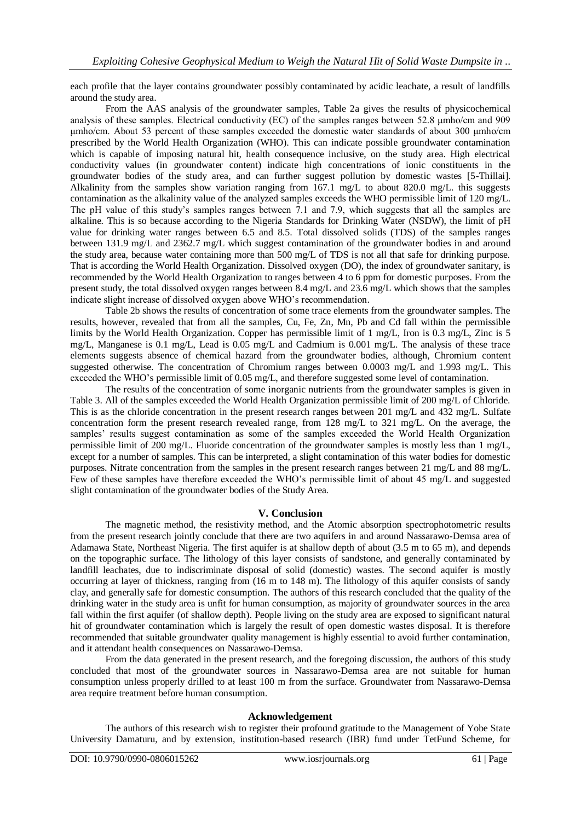each profile that the layer contains groundwater possibly contaminated by acidic leachate, a result of landfills around the study area.

From the AAS analysis of the groundwater samples, Table 2a gives the results of physicochemical analysis of these samples. Electrical conductivity (EC) of the samples ranges between 52.8 μmho/cm and 909 μmho/cm. About 53 percent of these samples exceeded the domestic water standards of about 300 μmho/cm prescribed by the World Health Organization (WHO). This can indicate possible groundwater contamination which is capable of imposing natural hit, health consequence inclusive, on the study area. High electrical conductivity values (in groundwater content) indicate high concentrations of ionic constituents in the groundwater bodies of the study area, and can further suggest pollution by domestic wastes [5-Thillai]. Alkalinity from the samples show variation ranging from 167.1 mg/L to about 820.0 mg/L. this suggests contamination as the alkalinity value of the analyzed samples exceeds the WHO permissible limit of 120 mg/L. The pH value of this study's samples ranges between 7.1 and 7.9, which suggests that all the samples are alkaline. This is so because according to the Nigeria Standards for Drinking Water (NSDW), the limit of pH value for drinking water ranges between 6.5 and 8.5. Total dissolved solids (TDS) of the samples ranges between 131.9 mg/L and 2362.7 mg/L which suggest contamination of the groundwater bodies in and around the study area, because water containing more than 500 mg/L of TDS is not all that safe for drinking purpose. That is according the World Health Organization. Dissolved oxygen (DO), the index of groundwater sanitary, is recommended by the World Health Organization to ranges between 4 to 6 ppm for domestic purposes. From the present study, the total dissolved oxygen ranges between 8.4 mg/L and 23.6 mg/L which shows that the samples indicate slight increase of dissolved oxygen above WHO's recommendation.

Table 2b shows the results of concentration of some trace elements from the groundwater samples. The results, however, revealed that from all the samples, Cu, Fe, Zn, Mn, Pb and Cd fall within the permissible limits by the World Health Organization. Copper has permissible limit of 1 mg/L, Iron is 0.3 mg/L, Zinc is 5 mg/L, Manganese is 0.1 mg/L, Lead is 0.05 mg/L and Cadmium is 0.001 mg/L. The analysis of these trace elements suggests absence of chemical hazard from the groundwater bodies, although, Chromium content suggested otherwise. The concentration of Chromium ranges between 0.0003 mg/L and 1.993 mg/L. This exceeded the WHO's permissible limit of 0.05 mg/L, and therefore suggested some level of contamination.

The results of the concentration of some inorganic nutrients from the groundwater samples is given in Table 3. All of the samples exceeded the World Health Organization permissible limit of 200 mg/L of Chloride. This is as the chloride concentration in the present research ranges between 201 mg/L and 432 mg/L. Sulfate concentration form the present research revealed range, from 128 mg/L to 321 mg/L. On the average, the samples' results suggest contamination as some of the samples exceeded the World Health Organization permissible limit of 200 mg/L. Fluoride concentration of the groundwater samples is mostly less than 1 mg/L, except for a number of samples. This can be interpreted, a slight contamination of this water bodies for domestic purposes. Nitrate concentration from the samples in the present research ranges between 21 mg/L and 88 mg/L. Few of these samples have therefore exceeded the WHO's permissible limit of about 45 mg/L and suggested slight contamination of the groundwater bodies of the Study Area.

# **V. Conclusion**

The magnetic method, the resistivity method, and the Atomic absorption spectrophotometric results from the present research jointly conclude that there are two aquifers in and around Nassarawo-Demsa area of Adamawa State, Northeast Nigeria. The first aquifer is at shallow depth of about (3.5 m to 65 m), and depends on the topographic surface. The lithology of this layer consists of sandstone, and generally contaminated by landfill leachates, due to indiscriminate disposal of solid (domestic) wastes. The second aquifer is mostly occurring at layer of thickness, ranging from (16 m to 148 m). The lithology of this aquifer consists of sandy clay, and generally safe for domestic consumption. The authors of this research concluded that the quality of the drinking water in the study area is unfit for human consumption, as majority of groundwater sources in the area fall within the first aquifer (of shallow depth). People living on the study area are exposed to significant natural hit of groundwater contamination which is largely the result of open domestic wastes disposal. It is therefore recommended that suitable groundwater quality management is highly essential to avoid further contamination, and it attendant health consequences on Nassarawo-Demsa.

From the data generated in the present research, and the foregoing discussion, the authors of this study concluded that most of the groundwater sources in Nassarawo-Demsa area are not suitable for human consumption unless properly drilled to at least 100 m from the surface. Groundwater from Nassarawo-Demsa area require treatment before human consumption.

# **Acknowledgement**

The authors of this research wish to register their profound gratitude to the Management of Yobe State University Damaturu, and by extension, institution-based research (IBR) fund under TetFund Scheme, for